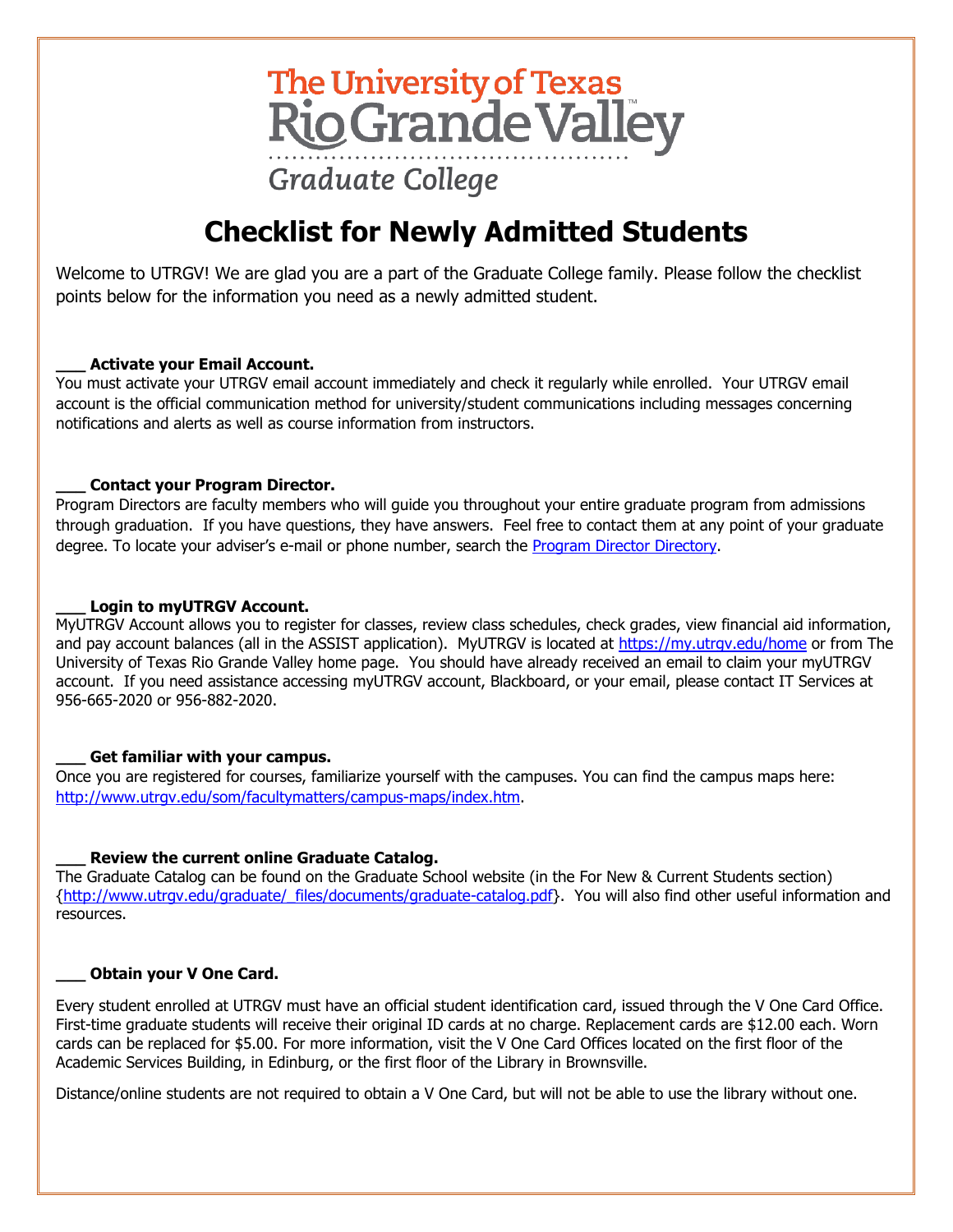# The University of Texas<br>Rio Grande Valley **Graduate College**

## **Checklist for Newly Admitted Students**

Welcome to UTRGV! We are glad you are a part of the Graduate College family. Please follow the checklist points below for the information you need as a newly admitted student.

#### **\_\_\_ Activate your Email Account.**

You must activate your UTRGV email account immediately and check it regularly while enrolled. Your UTRGV email account is the official communication method for university/student communications including messages concerning notifications and alerts as well as course information from instructors.

#### **\_\_\_ Contact your Program Director.**

Program Directors are faculty members who will guide you throughout your entire graduate program from admissions through graduation. If you have questions, they have answers. Feel free to contact them at any point of your graduate degree. To locate your adviser's e-mail or phone number, search the [Program Director Directory.](http://www.utrgv.edu/graduate/contact-us/program-directors/index.htm)

#### **\_\_\_ Login to myUTRGV Account.**

MyUTRGV Account allows you to register for classes, review class schedules, check grades, view financial aid information, and pay account balances (all in the ASSIST application). MyUTRGV is located at<https://my.utrgv.edu/home> or from The University of Texas Rio Grande Valley home page. You should have already received an email to claim your myUTRGV account. If you need assistance accessing myUTRGV account, Blackboard, or your email, please contact IT Services at 956-665-2020 or 956-882-2020.

#### **\_\_\_ Get familiar with your campus.**

Once you are registered for courses, familiarize yourself with the campuses. You can find the campus maps here: [http://www.utrgv.edu/som/facultymatters/campus-maps/index.htm.](http://www.utrgv.edu/som/facultymatters/campus-maps/index.htm)

#### **\_\_\_ Review the current online Graduate Catalog.**

The Graduate Catalog can be found on the Graduate School website (in the For New & Current Students section) [{http://www.utrgv.edu/graduate/\\_files/documents/graduate-catalog.pdf}](http://www.utrgv.edu/graduate/_files/documents/graduate-catalog.pdf). You will also find other useful information and resources.

#### **Obtain your V One Card.**

Every student enrolled at UTRGV must have an official student identification card, issued through the V One Card Office. First-time graduate students will receive their original ID cards at no charge. Replacement cards are \$12.00 each. Worn cards can be replaced for \$5.00. For more information, visit the V One Card Offices located on the first floor of the Academic Services Building, in Edinburg, or the first floor of the Library in Brownsville.

Distance/online students are not required to obtain a V One Card, but will not be able to use the library without one.